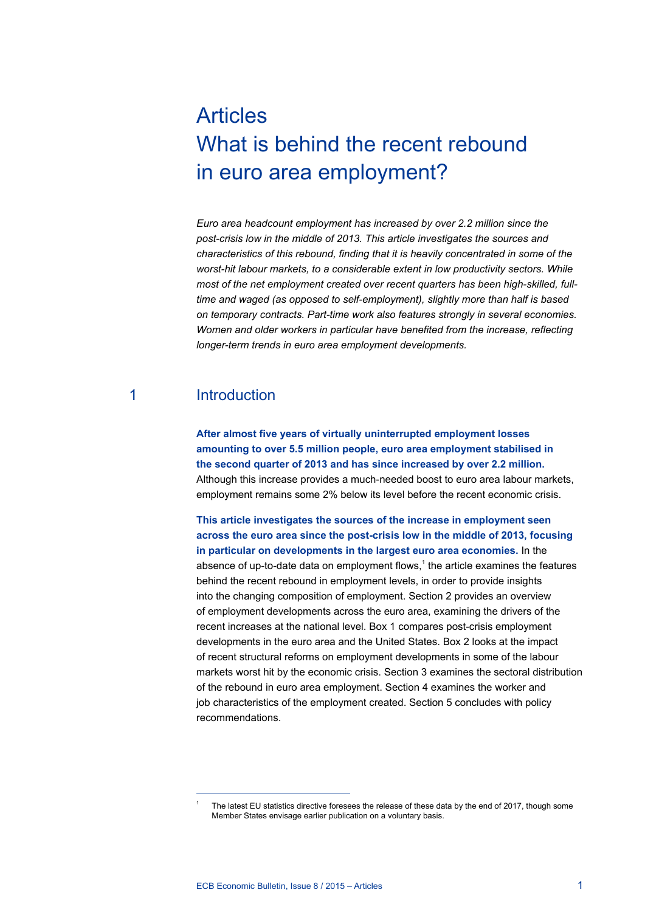# Articles What is behind the recent rebound in euro area employment?

*Euro area headcount employment has increased by over 2.2 million since the post-crisis low in the middle of 2013. This article investigates the sources and characteristics of this rebound, finding that it is heavily concentrated in some of the worst-hit labour markets, to a considerable extent in low productivity sectors. While most of the net employment created over recent quarters has been high-skilled, fulltime and waged (as opposed to self-employment), slightly more than half is based on temporary contracts. Part-time work also features strongly in several economies. Women and older workers in particular have benefited from the increase, reflecting longer-term trends in euro area employment developments.*

# 1 Introduction

**After almost five years of virtually uninterrupted employment losses amounting to over 5.5 million people, euro area employment stabilised in the second quarter of 2013 and has since increased by over 2.2 million.**  Although this increase provides a much-needed boost to euro area labour markets, employment remains some 2% below its level before the recent economic crisis.

**This article investigates the sources of the increase in employment seen across the euro area since the post-crisis low in the middle of 2013, focusing in particular on developments in the largest euro area economies.** In the absence of up-to-date data on employment flows, $<sup>1</sup>$  the article examines the features</sup> behind the recent rebound in employment levels, in order to provide insights into the changing composition of employment. Section 2 provides an overview of employment developments across the euro area, examining the drivers of the recent increases at the national level. Box 1 compares post-crisis employment developments in the euro area and the United States. Box 2 looks at the impact of recent structural reforms on employment developments in some of the labour markets worst hit by the economic crisis. Section 3 examines the sectoral distribution of the rebound in euro area employment. Section 4 examines the worker and job characteristics of the employment created. Section 5 concludes with policy recommendations.

The latest EU statistics directive foresees the release of these data by the end of 2017, though some Member States envisage earlier publication on a voluntary basis.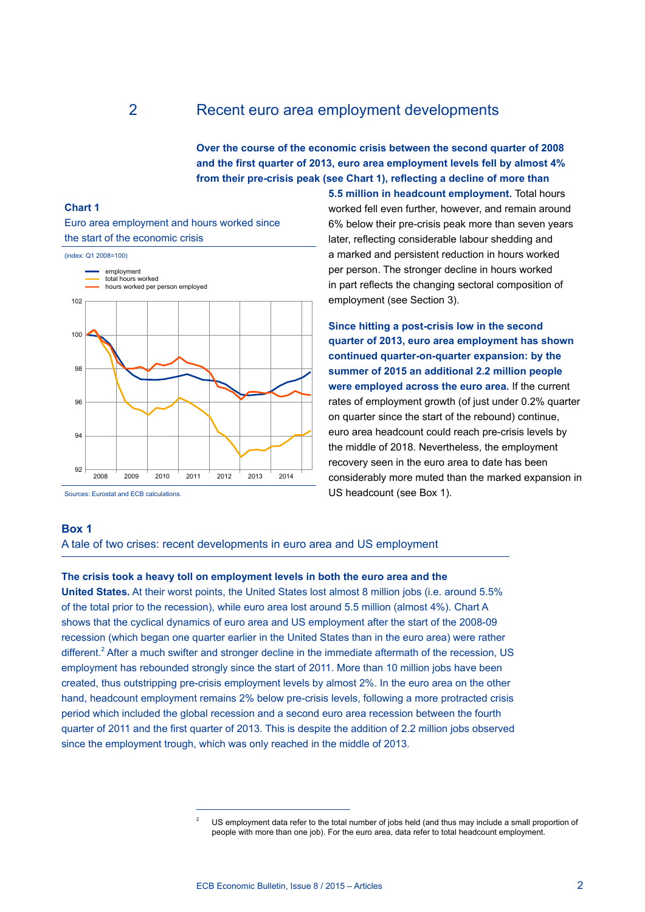## 2 Recent euro area employment developments

**Over the course of the economic crisis between the second quarter of 2008 and the first quarter of 2013, euro area employment levels fell by almost 4% from their pre-crisis peak (see Chart 1), reflecting a decline of more than** 

## **Chart 1**

Euro area employment and hours worked since the start of the economic crisis



Sources: Eurostat and ECB calculations.

**5.5 million in headcount employment.** Total hours worked fell even further, however, and remain around 6% below their pre-crisis peak more than seven years later, reflecting considerable labour shedding and a marked and persistent reduction in hours worked per person. The stronger decline in hours worked in part reflects the changing sectoral composition of employment (see Section 3).

**Since hitting a post-crisis low in the second quarter of 2013, euro area employment has shown continued quarter-on-quarter expansion: by the summer of 2015 an additional 2.2 million people were employed across the euro area.** If the current rates of employment growth (of just under 0.2% quarter on quarter since the start of the rebound) continue, euro area headcount could reach pre-crisis levels by the middle of 2018. Nevertheless, the employment recovery seen in the euro area to date has been considerably more muted than the marked expansion in US headcount (see Box 1).

## **Box 1**

A tale of two crises: recent developments in euro area and US employment

### **The crisis took a heavy toll on employment levels in both the euro area and the**

**United States.** At their worst points, the United States lost almost 8 million jobs (i.e. around 5.5% of the total prior to the recession), while euro area lost around 5.5 million (almost 4%). Chart A shows that the cyclical dynamics of euro area and US employment after the start of the 2008-09 recession (which began one quarter earlier in the United States than in the euro area) were rather different.<sup>2</sup> After a much swifter and stronger decline in the immediate aftermath of the recession, US employment has rebounded strongly since the start of 2011. More than 10 million jobs have been created, thus outstripping pre-crisis employment levels by almost 2%. In the euro area on the other hand, headcount employment remains 2% below pre-crisis levels, following a more protracted crisis period which included the global recession and a second euro area recession between the fourth quarter of 2011 and the first quarter of 2013. This is despite the addition of 2.2 million jobs observed since the employment trough, which was only reached in the middle of 2013.

<sup>2</sup> US employment data refer to the total number of jobs held (and thus may include a small proportion of people with more than one job). For the euro area, data refer to total headcount employment.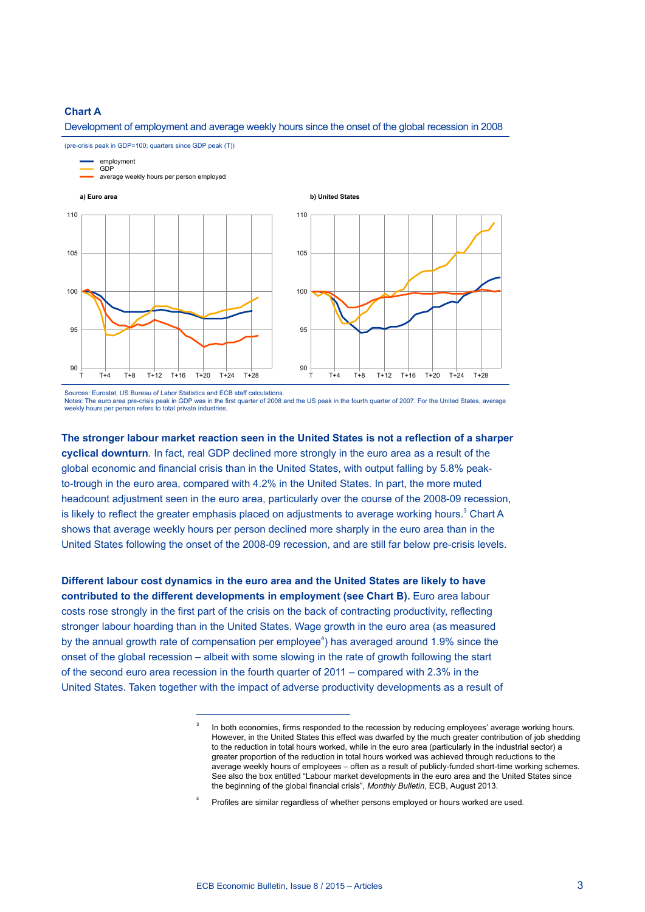## **Chart A**

Development of employment and average weekly hours since the onset of the global recession in 2008



Sources: Eurostat, US Bureau of Labor Statistics and ECB staff calculations.

Notes: The euro area pre-crisis peak in GDP was in the first quarter of 2008 and the US peak in the fourth quarter of 2007. For the United States, average weekly hours per person refers to total private industries.

**The stronger labour market reaction seen in the United States is not a reflection of a sharper cyclical downturn**. In fact, real GDP declined more strongly in the euro area as a result of the global economic and financial crisis than in the United States, with output falling by 5.8% peakto-trough in the euro area, compared with 4.2% in the United States. In part, the more muted headcount adjustment seen in the euro area, particularly over the course of the 2008-09 recession, is likely to reflect the greater emphasis placed on adjustments to average working hours. $^3$  Chart A shows that average weekly hours per person declined more sharply in the euro area than in the United States following the onset of the 2008-09 recession, and are still far below pre-crisis levels.

**Different labour cost dynamics in the euro area and the United States are likely to have contributed to the different developments in employment (see Chart B).** Euro area labour costs rose strongly in the first part of the crisis on the back of contracting productivity, reflecting stronger labour hoarding than in the United States. Wage growth in the euro area (as measured by the annual growth rate of compensation per employee<sup>4</sup>) has averaged around 1.9% since the onset of the global recession – albeit with some slowing in the rate of growth following the start of the second euro area recession in the fourth quarter of 2011 – compared with 2.3% in the United States. Taken together with the impact of adverse productivity developments as a result of

In both economies, firms responded to the recession by reducing employees' average working hours. However, in the United States this effect was dwarfed by the much greater contribution of job shedding to the reduction in total hours worked, while in the euro area (particularly in the industrial sector) a greater proportion of the reduction in total hours worked was achieved through reductions to the average weekly hours of employees – often as a result of publicly-funded short-time working schemes. See also the box entitled "Labour market developments in the euro area and the United States since the beginning of the global financial crisis", *Monthly Bulletin*, ECB, August 2013.

<sup>4</sup> Profiles are similar regardless of whether persons employed or hours worked are used.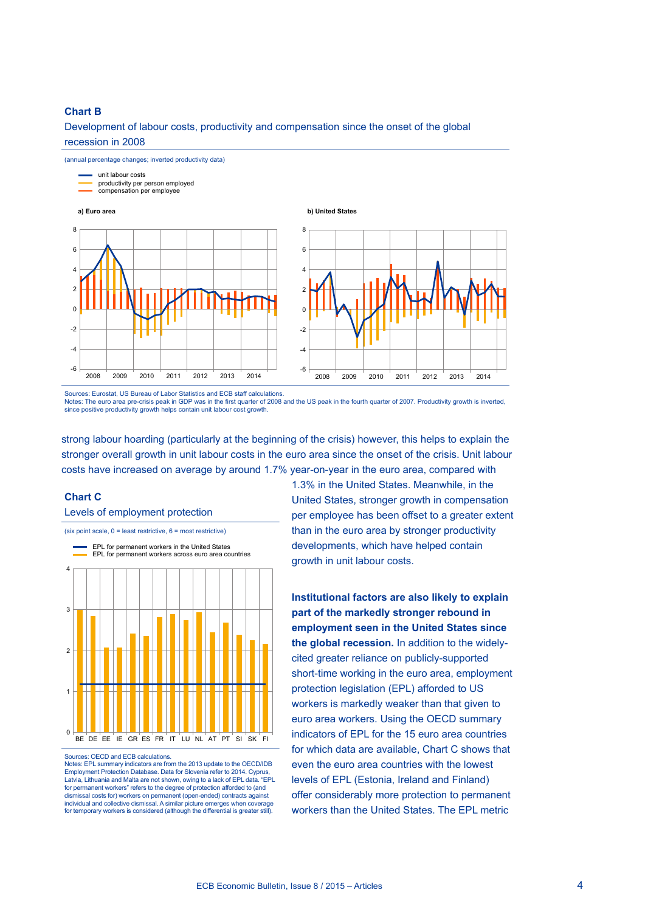## **Chart B**

Development of labour costs, productivity and compensation since the onset of the global recession in 2008



Sources: Eurostat, US Bureau of Labor Statistics and ECB staff calculations. Notes: The euro area pre-crisis peak in GDP was in the first quarter of 2008 and the US peak in the fourth quarter of 2007. Productivity growth is inverted, since positive productivity growth helps contain unit labour cost growth.

strong labour hoarding (particularly at the beginning of the crisis) however, this helps to explain the stronger overall growth in unit labour costs in the euro area since the onset of the crisis. Unit labour costs have increased on average by around 1.7% year-on-year in the euro area, compared with

## **Chart C**

Levels of employment protection





Sources: OECD and ECB calculations.

Notes: EPL summary indicators are from the 2013 update to the OECD/IDB Employment Protection Database. Data for Slovenia refer to 2014. Cyprus, Latvia, Lithuania and Malta are not shown, owing to a lack of EPL data. "EPL for permanent workers" refers to the degree of protection afforded to (and dismissal costs for) workers on permanent (open-ended) contracts against individual and collective dismissal. A similar picture emerges when coverage for temporary workers is considered (although the differential is greater still).

1.3% in the United States. Meanwhile, in the United States, stronger growth in compensation per employee has been offset to a greater extent than in the euro area by stronger productivity developments, which have helped contain growth in unit labour costs.

**Institutional factors are also likely to explain part of the markedly stronger rebound in employment seen in the United States since the global recession.** In addition to the widelycited greater reliance on publicly-supported short-time working in the euro area, employment protection legislation (EPL) afforded to US workers is markedly weaker than that given to euro area workers. Using the OECD summary indicators of EPL for the 15 euro area countries for which data are available, Chart C shows that even the euro area countries with the lowest levels of EPL (Estonia, Ireland and Finland) offer considerably more protection to permanent workers than the United States. The EPL metric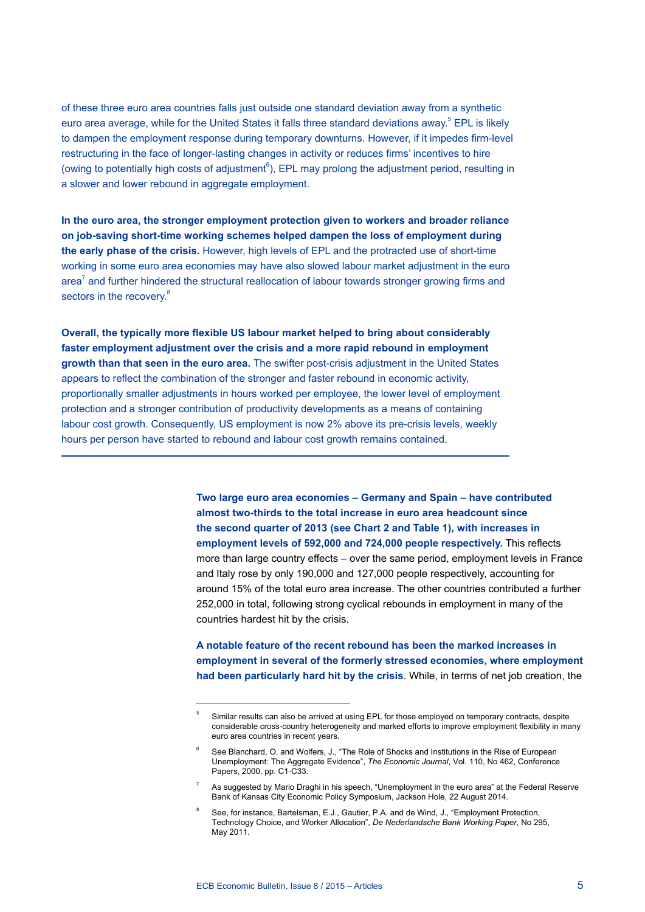of these three euro area countries falls just outside one standard deviation away from a synthetic euro area average, while for the United States it falls three standard deviations away.<sup>5</sup> EPL is likely to dampen the employment response during temporary downturns. However, if it impedes firm-level restructuring in the face of longer-lasting changes in activity or reduces firms' incentives to hire (owing to potentially high costs of adjustment $^6$ ), EPL may prolong the adjustment period, resulting in a slower and lower rebound in aggregate employment.

**In the euro area, the stronger employment protection given to workers and broader reliance on job-saving short-time working schemes helped dampen the loss of employment during the early phase of the crisis.** However, high levels of EPL and the protracted use of short-time working in some euro area economies may have also slowed labour market adjustment in the euro area<sup>7</sup> and further hindered the structural reallocation of labour towards stronger growing firms and sectors in the recovery.<sup>8</sup>

**Overall, the typically more flexible US labour market helped to bring about considerably faster employment adjustment over the crisis and a more rapid rebound in employment growth than that seen in the euro area.** The swifter post-crisis adjustment in the United States appears to reflect the combination of the stronger and faster rebound in economic activity, proportionally smaller adjustments in hours worked per employee, the lower level of employment protection and a stronger contribution of productivity developments as a means of containing labour cost growth. Consequently, US employment is now 2% above its pre-crisis levels, weekly hours per person have started to rebound and labour cost growth remains contained.

> **Two large euro area economies – Germany and Spain – have contributed almost two-thirds to the total increase in euro area headcount since the second quarter of 2013 (see Chart 2 and Table 1), with increases in employment levels of 592,000 and 724,000 people respectively.** This reflects more than large country effects – over the same period, employment levels in France and Italy rose by only 190,000 and 127,000 people respectively, accounting for around 15% of the total euro area increase. The other countries contributed a further 252,000 in total, following strong cyclical rebounds in employment in many of the countries hardest hit by the crisis.

> **A notable feature of the recent rebound has been the marked increases in employment in several of the formerly stressed economies, where employment had been particularly hard hit by the crisis**. While, in terms of net job creation, the

<sup>5</sup> Similar results can also be arrived at using EPL for those employed on temporary contracts, despite considerable cross-country heterogeneity and marked efforts to improve employment flexibility in many euro area countries in recent years.

<sup>6</sup> See Blanchard, O. and Wolfers, J., "The Role of Shocks and Institutions in the Rise of European Unemployment: The Aggregate Evidence", *The Economic Journal*, Vol. 110, No 462, Conference Papers, 2000, pp. C1-C33.

As suggested by Mario Draghi in his speech, "Unemployment in the euro area" at the Federal Reserve Bank of Kansas City Economic Policy Symposium, Jackson Hole, 22 August 2014.

<sup>8</sup> See, for instance, Bartelsman, E.J., Gautier, P.A. and de Wind, J., "Employment Protection, Technology Choice, and Worker Allocation", *De Nederlandsche Bank Working Paper*, No 295, May 2011.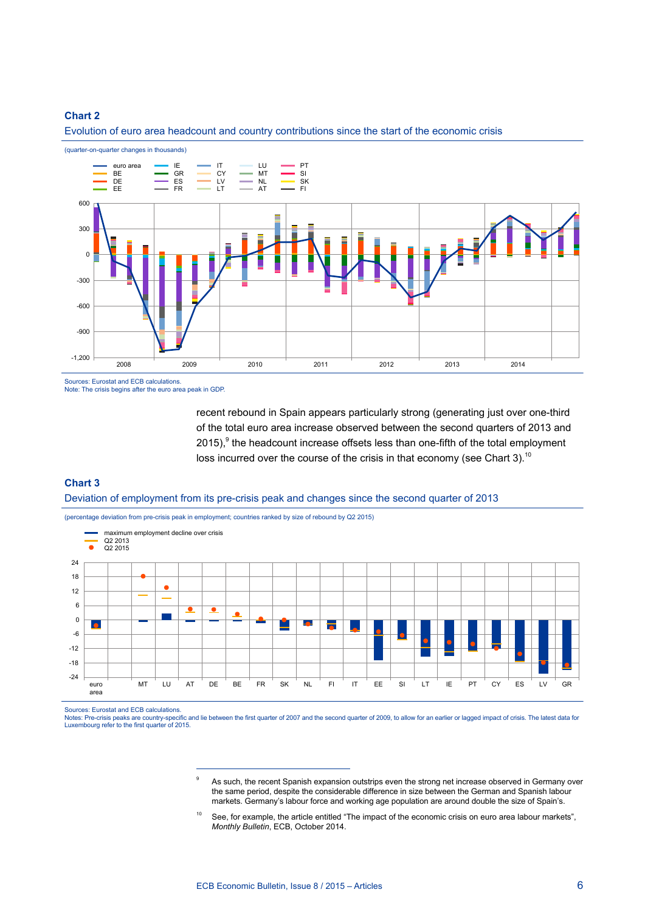

Evolution of euro area headcount and country contributions since the start of the economic crisis

Sources: Eurostat and ECB calculations.

Note: The crisis begins after the euro area peak in GDP.

recent rebound in Spain appears particularly strong (generating just over one-third of the total euro area increase observed between the second quarters of 2013 and  $2015$ ),  $9$  the headcount increase offsets less than one-fifth of the total employment loss incurred over the course of the crisis in that economy (see Chart 3).<sup>10</sup>

## **Chart 3**

Deviation of employment from its pre-crisis peak and changes since the second quarter of 2013

(percentage deviation from pre-crisis peak in employment; countries ranked by size of rebound by Q2 2015)



Sources: Eurostat and ECB calculations.

Notes: Pre-crisis peaks are country-specific and lie between the first quarter of 2007 and the second quarter of 2009, to allow for an earlier or lagged impact of crisis. The latest data for Luxembourg refer to the first quarter of 2015.

As such, the recent Spanish expansion outstrips even the strong net increase observed in Germany over the same period, despite the considerable difference in size between the German and Spanish labour markets. Germany's labour force and working age population are around double the size of Spain's.

<sup>&</sup>lt;sup>10</sup> See, for example, the article entitled "The impact of the economic crisis on euro area labour markets", *Monthly Bulletin*, ECB, October 2014.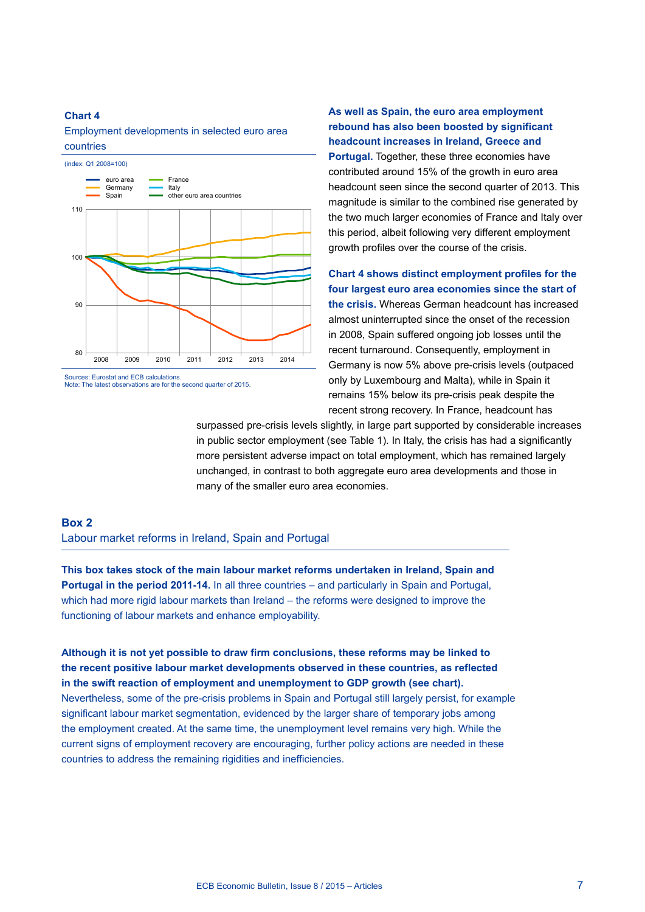## Employment developments in selected euro area countries



Note: The latest observations are for the second quarter of 2015.

**As well as Spain, the euro area employment rebound has also been boosted by significant headcount increases in Ireland, Greece and Portugal.** Together, these three economies have contributed around 15% of the growth in euro area headcount seen since the second quarter of 2013. This magnitude is similar to the combined rise generated by the two much larger economies of France and Italy over this period, albeit following very different employment growth profiles over the course of the crisis.

**Chart 4 shows distinct employment profiles for the four largest euro area economies since the start of the crisis.** Whereas German headcount has increased almost uninterrupted since the onset of the recession in 2008, Spain suffered ongoing job losses until the recent turnaround. Consequently, employment in Germany is now 5% above pre-crisis levels (outpaced only by Luxembourg and Malta), while in Spain it remains 15% below its pre-crisis peak despite the recent strong recovery. In France, headcount has

surpassed pre-crisis levels slightly, in large part supported by considerable increases in public sector employment (see Table 1). In Italy, the crisis has had a significantly more persistent adverse impact on total employment, which has remained largely unchanged, in contrast to both aggregate euro area developments and those in many of the smaller euro area economies.

## **Box 2**

Labour market reforms in Ireland, Spain and Portugal

**This box takes stock of the main labour market reforms undertaken in Ireland, Spain and Portugal in the period 2011-14.** In all three countries – and particularly in Spain and Portugal, which had more rigid labour markets than Ireland – the reforms were designed to improve the functioning of labour markets and enhance employability.

**Although it is not yet possible to draw firm conclusions, these reforms may be linked to the recent positive labour market developments observed in these countries, as reflected in the swift reaction of employment and unemployment to GDP growth (see chart).**  Nevertheless, some of the pre-crisis problems in Spain and Portugal still largely persist, for example significant labour market segmentation, evidenced by the larger share of temporary jobs among the employment created. At the same time, the unemployment level remains very high. While the current signs of employment recovery are encouraging, further policy actions are needed in these countries to address the remaining rigidities and inefficiencies.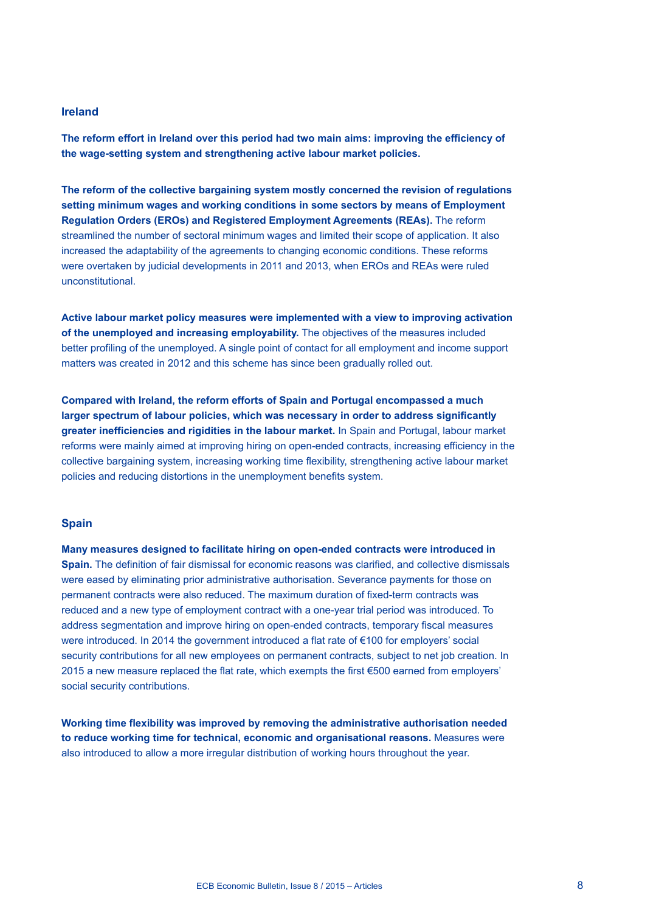## **Ireland**

**The reform effort in Ireland over this period had two main aims: improving the efficiency of the wage-setting system and strengthening active labour market policies.**

**The reform of the collective bargaining system mostly concerned the revision of regulations setting minimum wages and working conditions in some sectors by means of Employment Regulation Orders (EROs) and Registered Employment Agreements (REAs).** The reform streamlined the number of sectoral minimum wages and limited their scope of application. It also increased the adaptability of the agreements to changing economic conditions. These reforms were overtaken by judicial developments in 2011 and 2013, when EROs and REAs were ruled unconstitutional.

**Active labour market policy measures were implemented with a view to improving activation of the unemployed and increasing employability.** The objectives of the measures included better profiling of the unemployed. A single point of contact for all employment and income support matters was created in 2012 and this scheme has since been gradually rolled out.

**Compared with Ireland, the reform efforts of Spain and Portugal encompassed a much larger spectrum of labour policies, which was necessary in order to address significantly greater inefficiencies and rigidities in the labour market.** In Spain and Portugal, labour market reforms were mainly aimed at improving hiring on open-ended contracts, increasing efficiency in the collective bargaining system, increasing working time flexibility, strengthening active labour market policies and reducing distortions in the unemployment benefits system.

## **Spain**

**Many measures designed to facilitate hiring on open-ended contracts were introduced in Spain.** The definition of fair dismissal for economic reasons was clarified, and collective dismissals were eased by eliminating prior administrative authorisation. Severance payments for those on permanent contracts were also reduced. The maximum duration of fixed-term contracts was reduced and a new type of employment contract with a one-year trial period was introduced. To address segmentation and improve hiring on open-ended contracts, temporary fiscal measures were introduced. In 2014 the government introduced a flat rate of €100 for employers' social security contributions for all new employees on permanent contracts, subject to net job creation. In 2015 a new measure replaced the flat rate, which exempts the first €500 earned from employers' social security contributions.

**Working time flexibility was improved by removing the administrative authorisation needed to reduce working time for technical, economic and organisational reasons.** Measures were also introduced to allow a more irregular distribution of working hours throughout the year.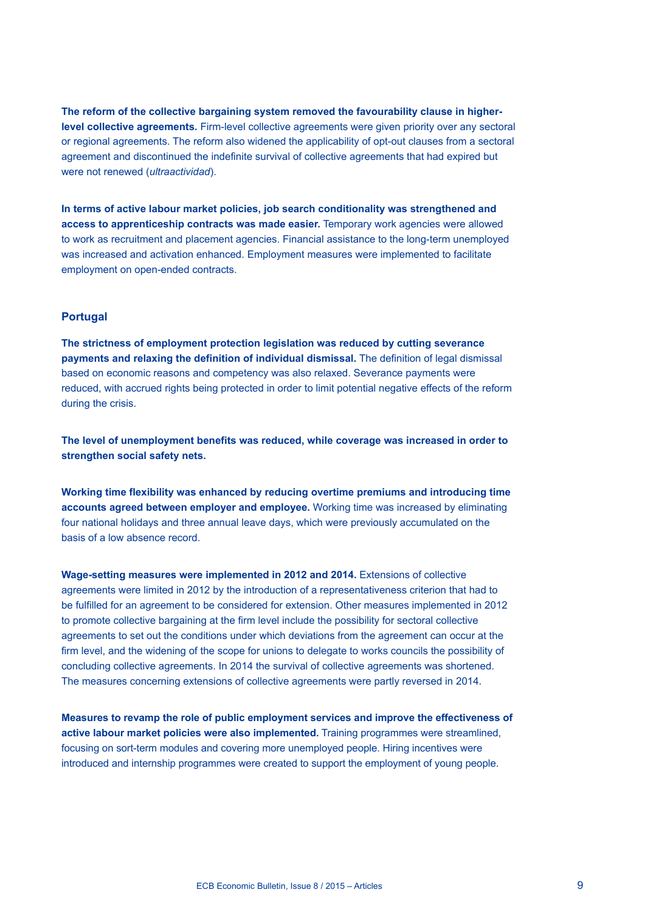**The reform of the collective bargaining system removed the favourability clause in higherlevel collective agreements.** Firm-level collective agreements were given priority over any sectoral or regional agreements. The reform also widened the applicability of opt-out clauses from a sectoral agreement and discontinued the indefinite survival of collective agreements that had expired but were not renewed (*ultraactividad*).

**In terms of active labour market policies, job search conditionality was strengthened and access to apprenticeship contracts was made easier.** Temporary work agencies were allowed to work as recruitment and placement agencies. Financial assistance to the long-term unemployed was increased and activation enhanced. Employment measures were implemented to facilitate employment on open-ended contracts.

## **Portugal**

**The strictness of employment protection legislation was reduced by cutting severance payments and relaxing the definition of individual dismissal.** The definition of legal dismissal based on economic reasons and competency was also relaxed. Severance payments were reduced, with accrued rights being protected in order to limit potential negative effects of the reform during the crisis.

**The level of unemployment benefits was reduced, while coverage was increased in order to strengthen social safety nets.**

**Working time flexibility was enhanced by reducing overtime premiums and introducing time accounts agreed between employer and employee.** Working time was increased by eliminating four national holidays and three annual leave days, which were previously accumulated on the basis of a low absence record.

**Wage-setting measures were implemented in 2012 and 2014.** Extensions of collective agreements were limited in 2012 by the introduction of a representativeness criterion that had to be fulfilled for an agreement to be considered for extension. Other measures implemented in 2012 to promote collective bargaining at the firm level include the possibility for sectoral collective agreements to set out the conditions under which deviations from the agreement can occur at the firm level, and the widening of the scope for unions to delegate to works councils the possibility of concluding collective agreements. In 2014 the survival of collective agreements was shortened. The measures concerning extensions of collective agreements were partly reversed in 2014.

**Measures to revamp the role of public employment services and improve the effectiveness of active labour market policies were also implemented.** Training programmes were streamlined, focusing on sort-term modules and covering more unemployed people. Hiring incentives were introduced and internship programmes were created to support the employment of young people.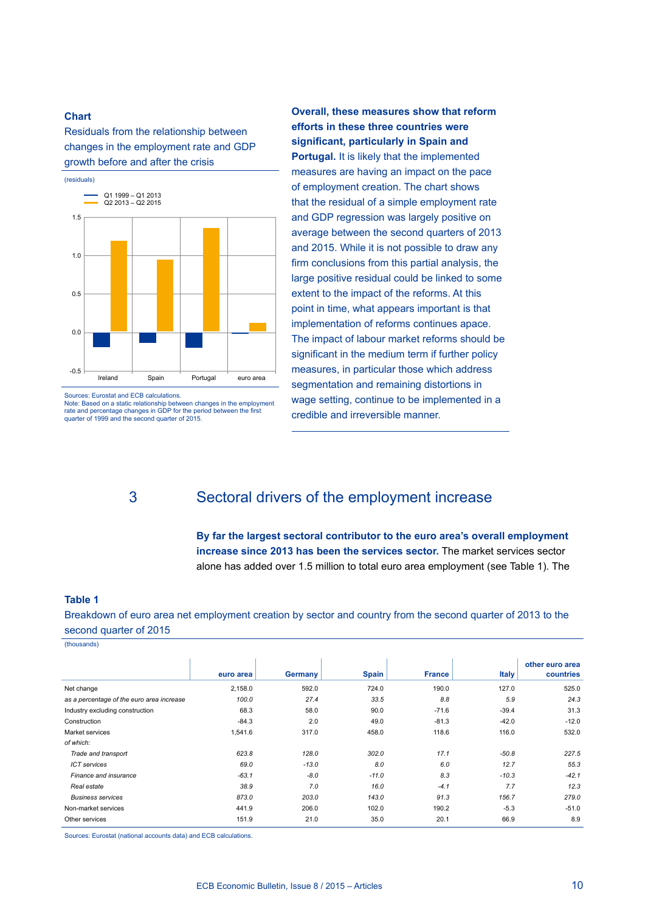Residuals from the relationship between changes in the employment rate and GDP growth before and after the crisis



Sources: Eurostat and ECB calculations.

Note: Based on a static relationship between changes in the employment rate and percentage changes in GDP for the period between the first quarter of 1999 and the second quarter of 2015.

# 3 Sectoral drivers of the employment increase

credible and irreversible manner.

**By far the largest sectoral contributor to the euro area's overall employment increase since 2013 has been the services sector.** The market services sector alone has added over 1.5 million to total euro area employment (see Table 1). The

**Overall, these measures show that reform efforts in these three countries were significant, particularly in Spain and Portugal.** It is likely that the implemented measures are having an impact on the pace of employment creation. The chart shows that the residual of a simple employment rate and GDP regression was largely positive on average between the second quarters of 2013 and 2015. While it is not possible to draw any firm conclusions from this partial analysis, the large positive residual could be linked to some extent to the impact of the reforms. At this point in time, what appears important is that implementation of reforms continues apace. The impact of labour market reforms should be significant in the medium term if further policy measures, in particular those which address segmentation and remaining distortions in wage setting, continue to be implemented in a

#### **Table 1**

Breakdown of euro area net employment creation by sector and country from the second quarter of 2013 to the second quarter of 2015

(thousands)

|                                           | euro area | <b>Germany</b> | <b>Spain</b> | <b>France</b> | <b>Italy</b> | other euro area<br>countries |
|-------------------------------------------|-----------|----------------|--------------|---------------|--------------|------------------------------|
| Net change                                | 2,158.0   | 592.0          | 724.0        | 190.0         | 127.0        | 525.0                        |
| as a percentage of the euro area increase | 100.0     | 27.4           | 33.5         | 8.8           | 5.9          | 24.3                         |
| Industry excluding construction           | 68.3      | 58.0           | 90.0         | $-71.6$       | $-39.4$      | 31.3                         |
| Construction                              | $-84.3$   | 2.0            | 49.0         | $-81.3$       | $-42.0$      | $-12.0$                      |
| Market services                           | 1,541.6   | 317.0          | 458.0        | 118.6         | 116.0        | 532.0                        |
| of which:                                 |           |                |              |               |              |                              |
| Trade and transport                       | 623.8     | 128.0          | 302.0        | 17.1          | $-50.8$      | 227.5                        |
| <b>ICT</b> services                       | 69.0      | $-13.0$        | 8.0          | 6.0           | 12.7         | 55.3                         |
| Finance and insurance                     | $-63.1$   | $-8.0$         | $-11.0$      | 8.3           | $-10.3$      | $-42.1$                      |
| Real estate                               | 38.9      | 7.0            | 16.0         | $-4.1$        | 7.7          | 12.3                         |
| <b>Business services</b>                  | 873.0     | 203.0          | 143.0        | 91.3          | 156.7        | 279.0                        |
| Non-market services                       | 441.9     | 206.0          | 102.0        | 190.2         | $-5.3$       | $-51.0$                      |
| Other services                            | 151.9     | 21.0           | 35.0         | 20.1          | 66.9         | 8.9                          |

Sources: Eurostat (national accounts data) and ECB calculations.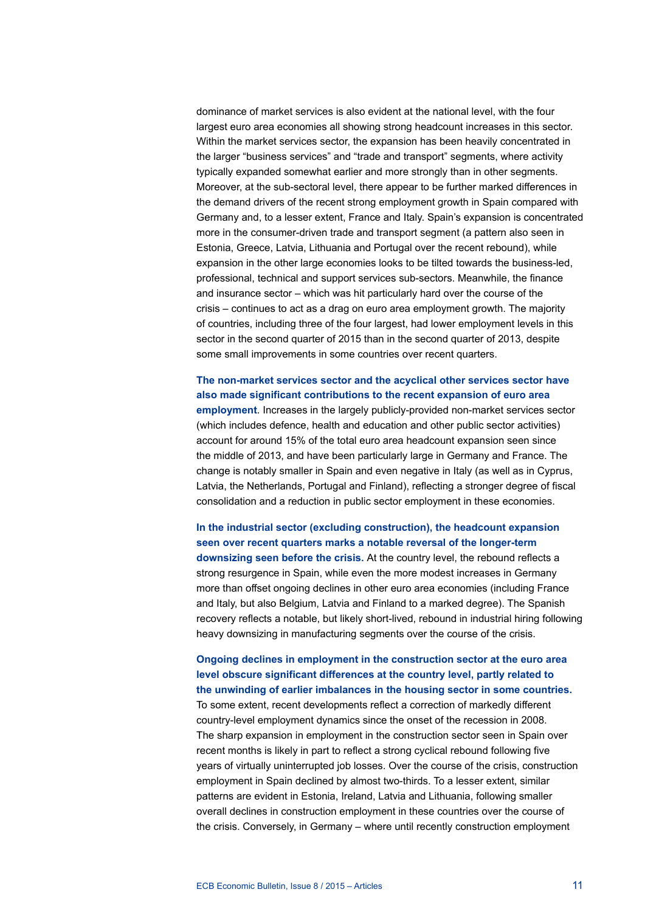dominance of market services is also evident at the national level, with the four largest euro area economies all showing strong headcount increases in this sector. Within the market services sector, the expansion has been heavily concentrated in the larger "business services" and "trade and transport" segments, where activity typically expanded somewhat earlier and more strongly than in other segments. Moreover, at the sub-sectoral level, there appear to be further marked differences in the demand drivers of the recent strong employment growth in Spain compared with Germany and, to a lesser extent, France and Italy. Spain's expansion is concentrated more in the consumer-driven trade and transport segment (a pattern also seen in Estonia, Greece, Latvia, Lithuania and Portugal over the recent rebound), while expansion in the other large economies looks to be tilted towards the business-led, professional, technical and support services sub-sectors. Meanwhile, the finance and insurance sector – which was hit particularly hard over the course of the crisis – continues to act as a drag on euro area employment growth. The majority of countries, including three of the four largest, had lower employment levels in this sector in the second quarter of 2015 than in the second quarter of 2013, despite some small improvements in some countries over recent quarters.

**The non-market services sector and the acyclical other services sector have also made significant contributions to the recent expansion of euro area employment**. Increases in the largely publicly-provided non-market services sector (which includes defence, health and education and other public sector activities) account for around 15% of the total euro area headcount expansion seen since the middle of 2013, and have been particularly large in Germany and France. The change is notably smaller in Spain and even negative in Italy (as well as in Cyprus, Latvia, the Netherlands, Portugal and Finland), reflecting a stronger degree of fiscal consolidation and a reduction in public sector employment in these economies.

**In the industrial sector (excluding construction), the headcount expansion seen over recent quarters marks a notable reversal of the longer-term downsizing seen before the crisis.** At the country level, the rebound reflects a strong resurgence in Spain, while even the more modest increases in Germany more than offset ongoing declines in other euro area economies (including France and Italy, but also Belgium, Latvia and Finland to a marked degree). The Spanish recovery reflects a notable, but likely short-lived, rebound in industrial hiring following heavy downsizing in manufacturing segments over the course of the crisis.

## **Ongoing declines in employment in the construction sector at the euro area level obscure significant differences at the country level, partly related to the unwinding of earlier imbalances in the housing sector in some countries.**

To some extent, recent developments reflect a correction of markedly different country-level employment dynamics since the onset of the recession in 2008. The sharp expansion in employment in the construction sector seen in Spain over recent months is likely in part to reflect a strong cyclical rebound following five years of virtually uninterrupted job losses. Over the course of the crisis, construction employment in Spain declined by almost two-thirds. To a lesser extent, similar patterns are evident in Estonia, Ireland, Latvia and Lithuania, following smaller overall declines in construction employment in these countries over the course of the crisis. Conversely, in Germany – where until recently construction employment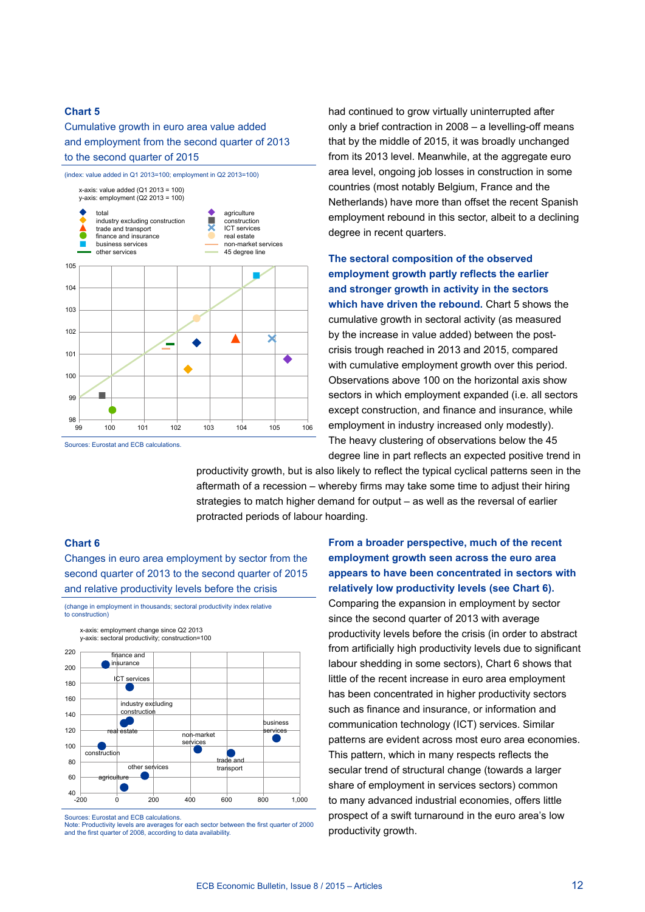## Cumulative growth in euro area value added and employment from the second quarter of 2013 to the second quarter of 2015



had continued to grow virtually uninterrupted after only a brief contraction in 2008 – a levelling-off means that by the middle of 2015, it was broadly unchanged from its 2013 level. Meanwhile, at the aggregate euro area level, ongoing job losses in construction in some countries (most notably Belgium, France and the Netherlands) have more than offset the recent Spanish employment rebound in this sector, albeit to a declining degree in recent quarters.

**The sectoral composition of the observed employment growth partly reflects the earlier and stronger growth in activity in the sectors**  which have driven the rebound. Chart 5 shows the cumulative growth in sectoral activity (as measured by the increase in value added) between the postcrisis trough reached in 2013 and 2015, compared with cumulative employment growth over this period. Observations above 100 on the horizontal axis show sectors in which employment expanded (i.e. all sectors except construction, and finance and insurance, while employment in industry increased only modestly). The heavy clustering of observations below the 45 degree line in part reflects an expected positive trend in

productivity growth, but is also likely to reflect the typical cyclical patterns seen in the aftermath of a recession – whereby firms may take some time to adjust their hiring strategies to match higher demand for output – as well as the reversal of earlier protracted periods of labour hoarding.

## **Chart 6**

Changes in euro area employment by sector from the second quarter of 2013 to the second quarter of 2015 and relative productivity levels before the crisis

(change in employment in thousands; sectoral productivity index relative to construction)



Sources: Eurostat and ECB calculations.

Note: Productivity levels are averages for each sector between the first quarter of 2000 and the first quarter of 2008, according to data availability.

**From a broader perspective, much of the recent employment growth seen across the euro area appears to have been concentrated in sectors with relatively low productivity levels (see Chart 6).** Comparing the expansion in employment by sector since the second quarter of 2013 with average productivity levels before the crisis (in order to abstract from artificially high productivity levels due to significant labour shedding in some sectors), Chart 6 shows that little of the recent increase in euro area employment has been concentrated in higher productivity sectors such as finance and insurance, or information and communication technology (ICT) services. Similar patterns are evident across most euro area economies. This pattern, which in many respects reflects the secular trend of structural change (towards a larger share of employment in services sectors) common to many advanced industrial economies, offers little prospect of a swift turnaround in the euro area's low productivity growth.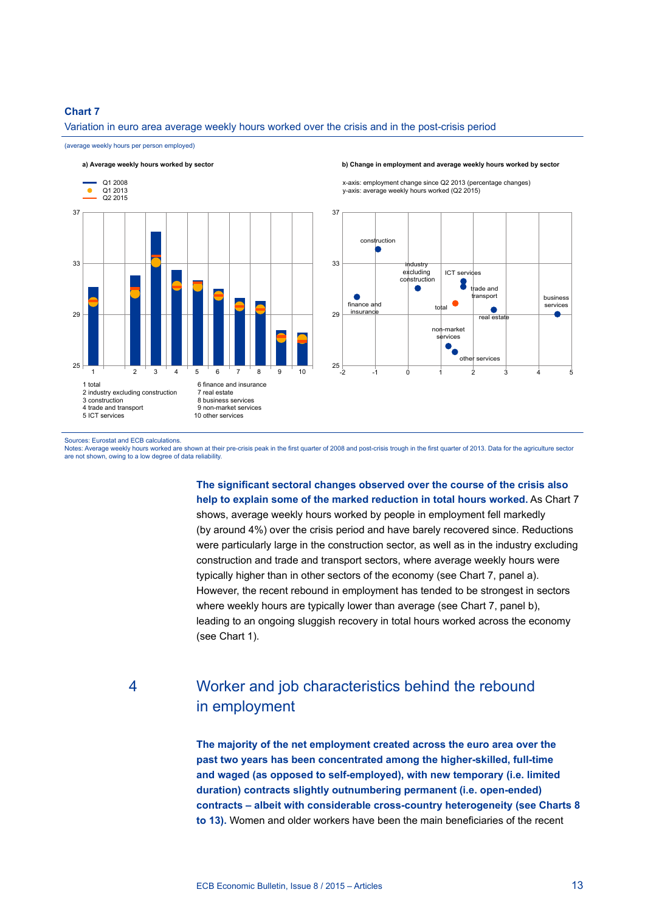## Variation in euro area average weekly hours worked over the crisis and in the post-crisis period

(average weekly hours per person employed) **a) Average weekly hours worked by sector b) Change in employment and average weekly hours worked by sector** 37 Q1 2008 Q1 2013  $Q2 2015$ 33  $29$ <sup>25</sup> <sup>1</sup> <sup>2</sup> <sup>3</sup> <sup>4</sup> <sup>5</sup> <sup>6</sup> <sup>7</sup> <sup>8</sup> <sup>9</sup> <sup>10</sup> 1 total 2 industry excluding construction 3 construction 4 trade and transport 5 ICT services 6 finance and insurance 7 real estate 8 business services 9 non-market services 10 other services

x-axis: employment change since Q2 2013 (percentage changes) y-axis: average weekly hours worked (Q2 2015)



#### Sources: Eurostat and ECB calculations.

Notes: Average weekly hours worked are shown at their pre-crisis peak in the first quarter of 2008 and post-crisis trough in the first quarter of 2013. Data for the agriculture sector are not shown, owing to a low degree of data reliability.

> **The significant sectoral changes observed over the course of the crisis also help to explain some of the marked reduction in total hours worked.** As Chart 7 shows, average weekly hours worked by people in employment fell markedly (by around 4%) over the crisis period and have barely recovered since. Reductions were particularly large in the construction sector, as well as in the industry excluding construction and trade and transport sectors, where average weekly hours were typically higher than in other sectors of the economy (see Chart 7, panel a). However, the recent rebound in employment has tended to be strongest in sectors where weekly hours are typically lower than average (see Chart 7, panel b), leading to an ongoing sluggish recovery in total hours worked across the economy (see Chart 1).

# 4 Worker and job characteristics behind the rebound in employment

**The majority of the net employment created across the euro area over the past two years has been concentrated among the higher-skilled, full-time and waged (as opposed to self-employed), with new temporary (i.e. limited duration) contracts slightly outnumbering permanent (i.e. open-ended) contracts – albeit with considerable cross-country heterogeneity (see Charts 8 to 13).** Women and older workers have been the main beneficiaries of the recent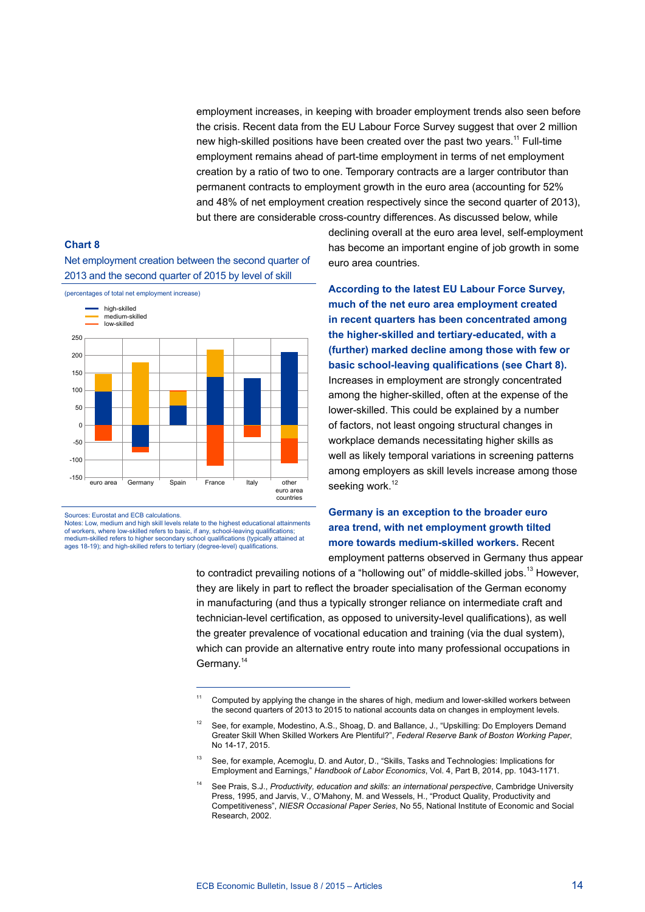employment increases, in keeping with broader employment trends also seen before the crisis. Recent data from the EU Labour Force Survey suggest that over 2 million new high-skilled positions have been created over the past two years.<sup>11</sup> Full-time employment remains ahead of part-time employment in terms of net employment creation by a ratio of two to one. Temporary contracts are a larger contributor than permanent contracts to employment growth in the euro area (accounting for 52% and 48% of net employment creation respectively since the second quarter of 2013), but there are considerable cross-country differences. As discussed below, while

## **Chart 8**

Net employment creation between the second quarter of 2013 and the second quarter of 2015 by level of skill



Sources: Eurostat and ECB calculations.

Notes: Low, medium and high skill levels relate to the highest educational attainments of workers, where low-skilled refers to basic, if any, school-leaving qualifications;<br>medium-skilled refers to higher secondary school qualifications (typically attained at ages 18-19); and high-skilled refers to tertiary (degree-level) qualifications.

declining overall at the euro area level, self-employment has become an important engine of job growth in some euro area countries.

**According to the latest EU Labour Force Survey, much of the net euro area employment created in recent quarters has been concentrated among the higher-skilled and tertiary-educated, with a (further) marked decline among those with few or basic school-leaving qualifications (see Chart 8).**  Increases in employment are strongly concentrated among the higher-skilled, often at the expense of the lower-skilled. This could be explained by a number of factors, not least ongoing structural changes in workplace demands necessitating higher skills as well as likely temporal variations in screening patterns among employers as skill levels increase among those seeking work.<sup>12</sup>

## **Germany is an exception to the broader euro area trend, with net employment growth tilted more towards medium-skilled workers.** Recent employment patterns observed in Germany thus appear

to contradict prevailing notions of a "hollowing out" of middle-skilled jobs.<sup>13</sup> However, they are likely in part to reflect the broader specialisation of the German economy in manufacturing (and thus a typically stronger reliance on intermediate craft and technician-level certification, as opposed to university-level qualifications), as well the greater prevalence of vocational education and training (via the dual system), which can provide an alternative entry route into many professional occupations in Germany.<sup>14</sup>

<sup>&</sup>lt;sup>11</sup> Computed by applying the change in the shares of high, medium and lower-skilled workers between the second quarters of 2013 to 2015 to national accounts data on changes in employment levels.

See, for example, Modestino, A.S., Shoag, D. and Ballance, J., "Upskilling: Do Employers Demand Greater Skill When Skilled Workers Are Plentiful?", *Federal Reserve Bank of Boston Working Paper*, No 14-17, 2015.

<sup>&</sup>lt;sup>13</sup> See, for example, Acemoglu, D. and Autor, D., "Skills, Tasks and Technologies: Implications for Employment and Earnings," *Handbook of Labor Economics*, Vol. 4, Part B, 2014, pp. 1043-1171.

<sup>14</sup> See Prais, S.J., *Productivity, education and skills: an international perspective*, Cambridge University Press, 1995, and Jarvis, V., O'Mahony, M. and Wessels, H., "Product Quality, Productivity and Competitiveness", *NIESR Occasional Paper Series*, No 55, National Institute of Economic and Social Research, 2002.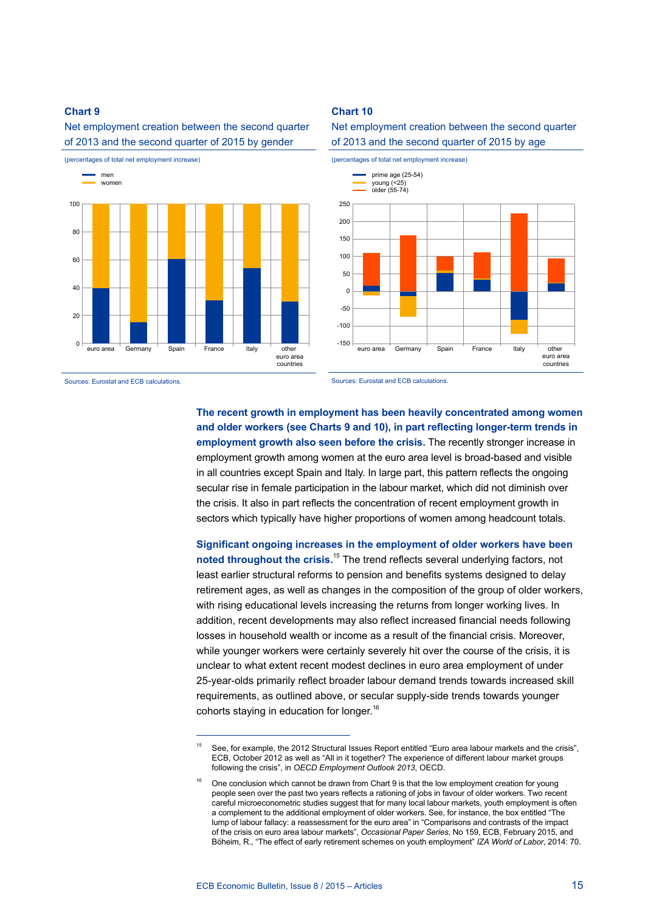Net employment creation between the second quarter of 2013 and the second quarter of 2015 by gender



Sources: Eurostat and ECB calculations.

## **Chart 10**





Sources: Eurostat and ECB calculations.

**The recent growth in employment has been heavily concentrated among women and older workers (see Charts 9 and 10), in part reflecting longer-term trends in employment growth also seen before the crisis.** The recently stronger increase in employment growth among women at the euro area level is broad-based and visible in all countries except Spain and Italy. In large part, this pattern reflects the ongoing secular rise in female participation in the labour market, which did not diminish over the crisis. It also in part reflects the concentration of recent employment growth in sectors which typically have higher proportions of women among headcount totals.

**Significant ongoing increases in the employment of older workers have been noted throughout the crisis.**<sup>15</sup> The trend reflects several underlying factors, not least earlier structural reforms to pension and benefits systems designed to delay retirement ages, as well as changes in the composition of the group of older workers, with rising educational levels increasing the returns from longer working lives. In addition, recent developments may also reflect increased financial needs following losses in household wealth or income as a result of the financial crisis. Moreover, while younger workers were certainly severely hit over the course of the crisis, it is unclear to what extent recent modest declines in euro area employment of under 25-year-olds primarily reflect broader labour demand trends towards increased skill requirements, as outlined above, or secular supply-side trends towards younger cohorts staving in education for longer.<sup>16</sup>

See, for example, the 2012 Structural Issues Report entitled "Euro area labour markets and the crisis", ECB, October 2012 as well as "All in it together? The experience of different labour market groups following the crisis", in *OECD Employment Outlook 2013*, OECD.

 $16$  One conclusion which cannot be drawn from Chart 9 is that the low employment creation for young people seen over the past two years reflects a rationing of jobs in favour of older workers. Two recent careful microeconometric studies suggest that for many local labour markets, youth employment is often a complement to the additional employment of older workers. See, for instance, the box entitled "The lump of labour fallacy: a reassessment for the euro area" in "Comparisons and contrasts of the impact of the crisis on euro area labour markets", *Occasional Paper Series*, No 159, ECB, February 2015, and Böheim, R., "The effect of early retirement schemes on youth employment" *IZA World of Labor*, 2014: 70.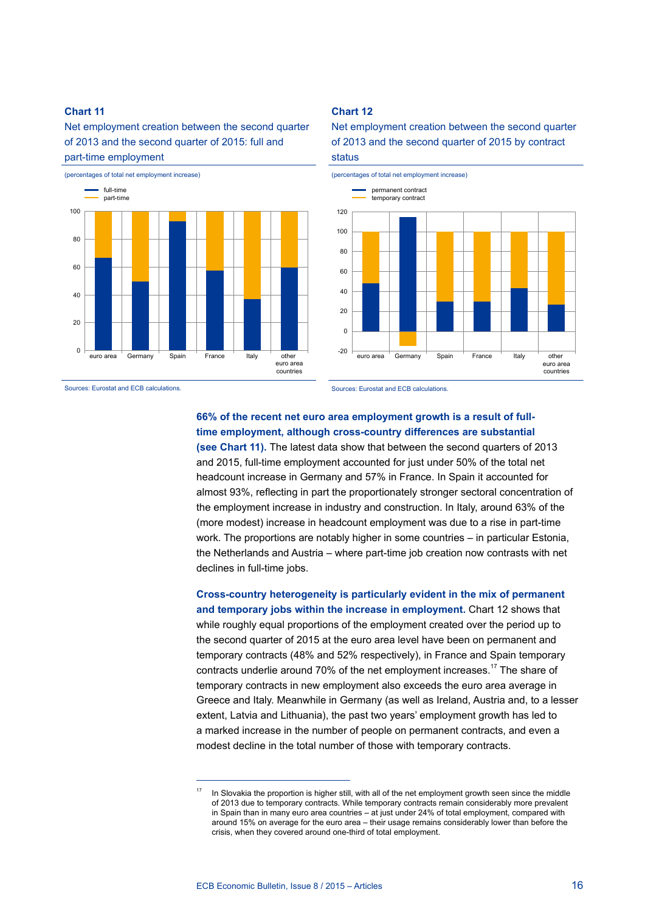Net employment creation between the second quarter of 2013 and the second quarter of 2015: full and part-time employment



## **Chart 12**

Net employment creation between the second quarter of 2013 and the second quarter of 2015 by contract status



Sources: Eurostat and ECB calculations.

Sources: Eurostat and ECB calculations.

## **66% of the recent net euro area employment growth is a result of fulltime employment, although cross-country differences are substantial**

**(see Chart 11).** The latest data show that between the second quarters of 2013 and 2015, full-time employment accounted for just under 50% of the total net headcount increase in Germany and 57% in France. In Spain it accounted for almost 93%, reflecting in part the proportionately stronger sectoral concentration of the employment increase in industry and construction. In Italy, around 63% of the (more modest) increase in headcount employment was due to a rise in part-time work. The proportions are notably higher in some countries – in particular Estonia, the Netherlands and Austria – where part-time job creation now contrasts with net declines in full-time jobs.

**Cross-country heterogeneity is particularly evident in the mix of permanent and temporary jobs within the increase in employment.** Chart 12 shows that while roughly equal proportions of the employment created over the period up to the second quarter of 2015 at the euro area level have been on permanent and temporary contracts (48% and 52% respectively), in France and Spain temporary contracts underlie around 70% of the net employment increases.17 The share of temporary contracts in new employment also exceeds the euro area average in Greece and Italy. Meanwhile in Germany (as well as Ireland, Austria and, to a lesser extent, Latvia and Lithuania), the past two years' employment growth has led to a marked increase in the number of people on permanent contracts, and even a modest decline in the total number of those with temporary contracts.

In Slovakia the proportion is higher still, with all of the net employment growth seen since the middle of 2013 due to temporary contracts. While temporary contracts remain considerably more prevalent in Spain than in many euro area countries – at just under 24% of total employment, compared with around 15% on average for the euro area – their usage remains considerably lower than before the crisis, when they covered around one-third of total employment.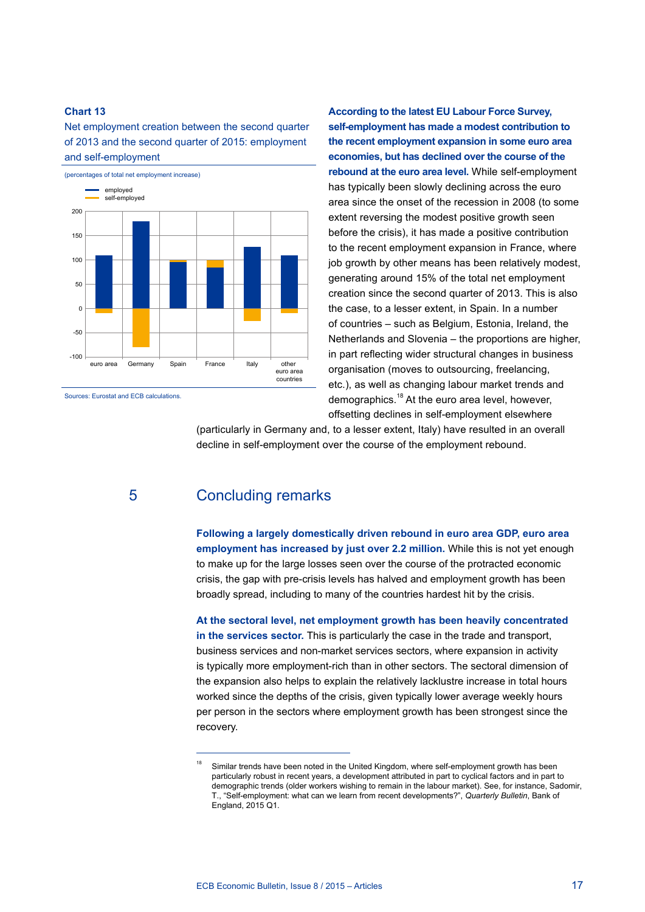Net employment creation between the second quarter of 2013 and the second quarter of 2015: employment and self-employment



Sources: Eurostat and ECB calculations.

**According to the latest EU Labour Force Survey, self-employment has made a modest contribution to the recent employment expansion in some euro area economies, but has declined over the course of the rebound at the euro area level.** While self-employment has typically been slowly declining across the euro area since the onset of the recession in 2008 (to some extent reversing the modest positive growth seen before the crisis), it has made a positive contribution to the recent employment expansion in France, where job growth by other means has been relatively modest, generating around 15% of the total net employment creation since the second quarter of 2013. This is also the case, to a lesser extent, in Spain. In a number of countries – such as Belgium, Estonia, Ireland, the Netherlands and Slovenia – the proportions are higher, in part reflecting wider structural changes in business organisation (moves to outsourcing, freelancing, etc.), as well as changing labour market trends and demographics.<sup>18</sup> At the euro area level, however, offsetting declines in self-employment elsewhere

(particularly in Germany and, to a lesser extent, Italy) have resulted in an overall decline in self-employment over the course of the employment rebound.

# 5 Concluding remarks

**Following a largely domestically driven rebound in euro area GDP, euro area employment has increased by just over 2.2 million.** While this is not yet enough to make up for the large losses seen over the course of the protracted economic crisis, the gap with pre-crisis levels has halved and employment growth has been broadly spread, including to many of the countries hardest hit by the crisis.

**At the sectoral level, net employment growth has been heavily concentrated in the services sector.** This is particularly the case in the trade and transport, business services and non-market services sectors, where expansion in activity is typically more employment-rich than in other sectors. The sectoral dimension of the expansion also helps to explain the relatively lacklustre increase in total hours worked since the depths of the crisis, given typically lower average weekly hours per person in the sectors where employment growth has been strongest since the recovery.

Similar trends have been noted in the United Kingdom, where self-employment growth has been particularly robust in recent years, a development attributed in part to cyclical factors and in part to demographic trends (older workers wishing to remain in the labour market). See, for instance, Sadomir, T., "Self-employment: what can we learn from recent developments?", *Quarterly Bulletin*, Bank of England, 2015 Q1.